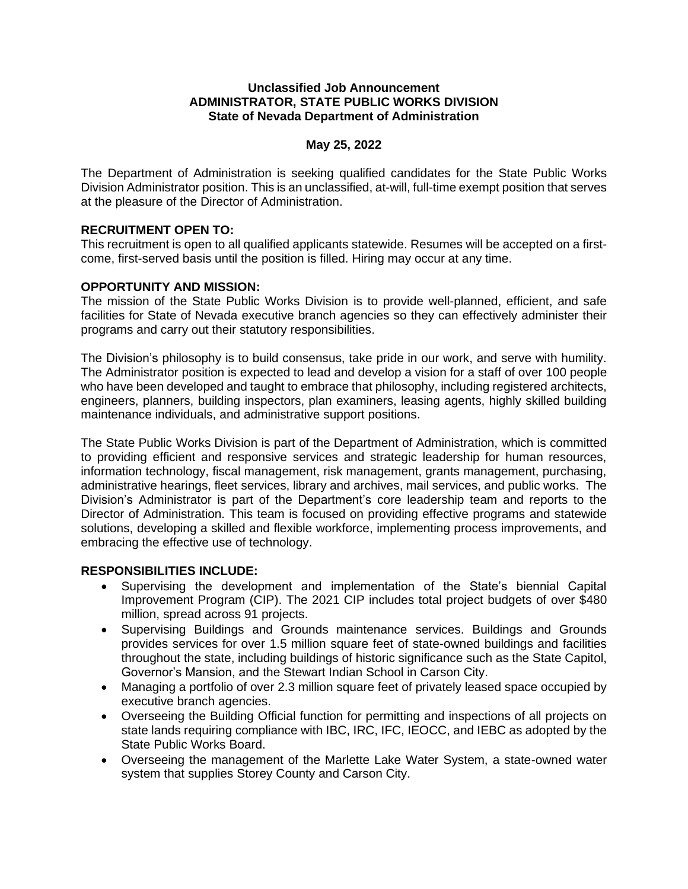#### **Unclassified Job Announcement ADMINISTRATOR, STATE PUBLIC WORKS DIVISION State of Nevada Department of Administration**

## **May 25, 2022**

The Department of Administration is seeking qualified candidates for the State Public Works Division Administrator position. This is an unclassified, at-will, full-time exempt position that serves at the pleasure of the Director of Administration.

## **RECRUITMENT OPEN TO:**

This recruitment is open to all qualified applicants statewide. Resumes will be accepted on a firstcome, first-served basis until the position is filled. Hiring may occur at any time.

## **OPPORTUNITY AND MISSION:**

The mission of the State Public Works Division is to provide well-planned, efficient, and safe facilities for State of Nevada executive branch agencies so they can effectively administer their programs and carry out their statutory responsibilities.

The Division's philosophy is to build consensus, take pride in our work, and serve with humility. The Administrator position is expected to lead and develop a vision for a staff of over 100 people who have been developed and taught to embrace that philosophy, including registered architects, engineers, planners, building inspectors, plan examiners, leasing agents, highly skilled building maintenance individuals, and administrative support positions.

The State Public Works Division is part of the Department of Administration, which is committed to providing efficient and responsive services and strategic leadership for human resources, information technology, fiscal management, risk management, grants management, purchasing, administrative hearings, fleet services, library and archives, mail services, and public works. The Division's Administrator is part of the Department's core leadership team and reports to the Director of Administration. This team is focused on providing effective programs and statewide solutions, developing a skilled and flexible workforce, implementing process improvements, and embracing the effective use of technology.

#### **RESPONSIBILITIES INCLUDE:**

- Supervising the development and implementation of the State's biennial Capital Improvement Program (CIP). The 2021 CIP includes total project budgets of over \$480 million, spread across 91 projects.
- Supervising Buildings and Grounds maintenance services. Buildings and Grounds provides services for over 1.5 million square feet of state-owned buildings and facilities throughout the state, including buildings of historic significance such as the State Capitol, Governor's Mansion, and the Stewart Indian School in Carson City.
- Managing a portfolio of over 2.3 million square feet of privately leased space occupied by executive branch agencies.
- Overseeing the Building Official function for permitting and inspections of all projects on state lands requiring compliance with IBC, IRC, IFC, IEOCC, and IEBC as adopted by the State Public Works Board.
- Overseeing the management of the Marlette Lake Water System, a state-owned water system that supplies Storey County and Carson City.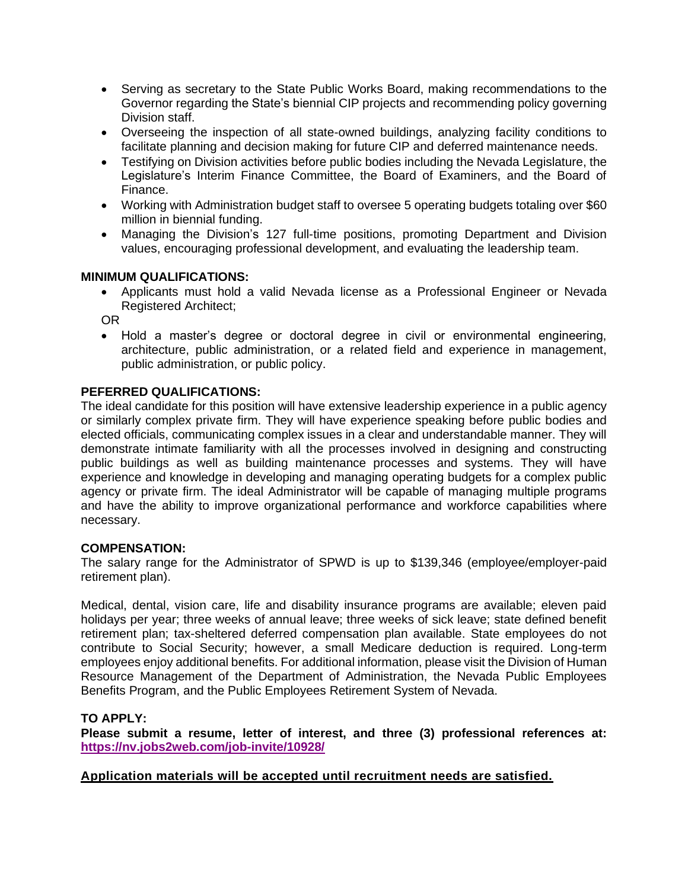- Serving as secretary to the State Public Works Board, making recommendations to the Governor regarding the State's biennial CIP projects and recommending policy governing Division staff.
- Overseeing the inspection of all state-owned buildings, analyzing facility conditions to facilitate planning and decision making for future CIP and deferred maintenance needs.
- Testifying on Division activities before public bodies including the Nevada Legislature, the Legislature's Interim Finance Committee, the Board of Examiners, and the Board of Finance.
- Working with Administration budget staff to oversee 5 operating budgets totaling over \$60 million in biennial funding.
- Managing the Division's 127 full-time positions, promoting Department and Division values, encouraging professional development, and evaluating the leadership team.

# **MINIMUM QUALIFICATIONS:**

• Applicants must hold a valid Nevada license as a Professional Engineer or Nevada Registered Architect;

OR

• Hold a master's degree or doctoral degree in civil or environmental engineering, architecture, public administration, or a related field and experience in management, public administration, or public policy.

## **PEFERRED QUALIFICATIONS:**

The ideal candidate for this position will have extensive leadership experience in a public agency or similarly complex private firm. They will have experience speaking before public bodies and elected officials, communicating complex issues in a clear and understandable manner. They will demonstrate intimate familiarity with all the processes involved in designing and constructing public buildings as well as building maintenance processes and systems. They will have experience and knowledge in developing and managing operating budgets for a complex public agency or private firm. The ideal Administrator will be capable of managing multiple programs and have the ability to improve organizational performance and workforce capabilities where necessary.

#### **COMPENSATION:**

The salary range for the Administrator of SPWD is up to \$139,346 (employee/employer-paid retirement plan).

Medical, dental, vision care, life and disability insurance programs are available; eleven paid holidays per year; three weeks of annual leave; three weeks of sick leave; state defined benefit retirement plan; tax-sheltered deferred compensation plan available. State employees do not contribute to Social Security; however, a small Medicare deduction is required. Long-term employees enjoy additional benefits. For additional information, please visit the Division of Human Resource Management of the Department of Administration, the Nevada Public Employees Benefits Program, and the Public Employees Retirement System of Nevada.

#### **TO APPLY:**

**Please submit a resume, letter of interest, and three (3) professional references at: <https://nv.jobs2web.com/job-invite/10928/>**

**Application materials will be accepted until recruitment needs are satisfied.**